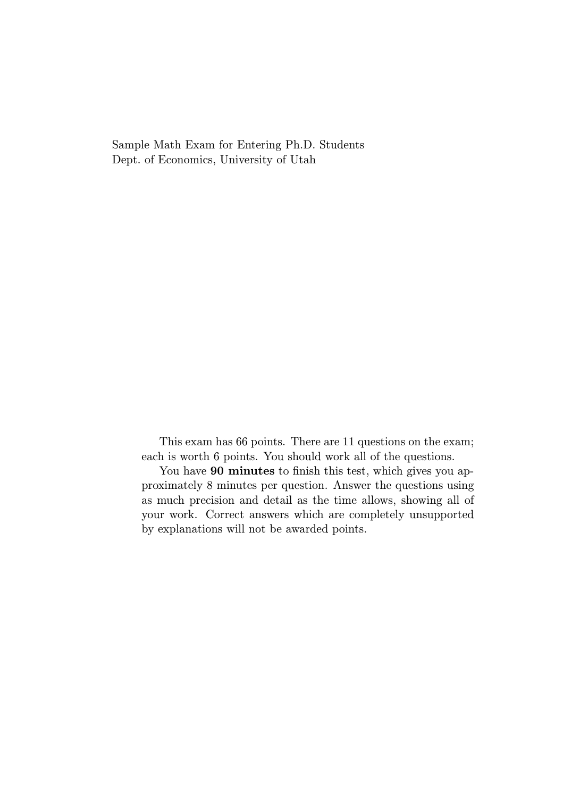Sample Math Exam for Entering Ph.D. Students Dept. of Economics, University of Utah

> This exam has 66 points. There are 11 questions on the exam; each is worth 6 points. You should work all of the questions.

> You have 90 minutes to finish this test, which gives you approximately 8 minutes per question. Answer the questions using as much precision and detail as the time allows, showing all of your work. Correct answers which are completely unsupported by explanations will not be awarded points.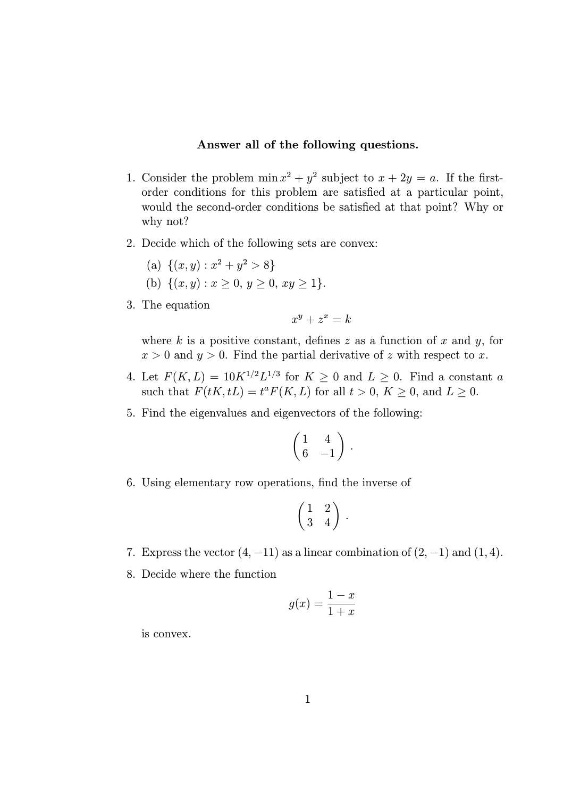## Answer all of the following questions.

- 1. Consider the problem  $\min x^2 + y^2$  subject to  $x + 2y = a$ . If the firstorder conditions for this problem are satisfied at a particular point, would the second-order conditions be satisfied at that point? Why or why not?
- 2. Decide which of the following sets are convex:
	- (a)  $\{(x, y) : x^2 + y^2 > 8\}$
	- (b)  $\{(x, y) : x \geq 0, y \geq 0, xy \geq 1\}.$
- 3. The equation

$$
x^y + z^x = k
$$

where  $k$  is a positive constant, defines  $z$  as a function of  $x$  and  $y$ , for  $x > 0$  and  $y > 0$ . Find the partial derivative of z with respect to x.

- 4. Let  $F(K, L) = 10K^{1/2}L^{1/3}$  for  $K \geq 0$  and  $L \geq 0$ . Find a constant a such that  $F(tK, tL) = t^a F(K, L)$  for all  $t > 0$ ,  $K \ge 0$ , and  $L \ge 0$ .
- 5. Find the eigenvalues and eigenvectors of the following:

$$
\begin{pmatrix} 1 & 4 \\ 6 & -1 \end{pmatrix}.
$$

6. Using elementary row operations, find the inverse of

$$
\left(\begin{matrix} 1 & 2 \\ 3 & 4 \end{matrix}\right).
$$

- 7. Express the vector  $(4, -11)$  as a linear combination of  $(2, -1)$  and  $(1, 4)$ .
- 8. Decide where the function

$$
g(x) = \frac{1-x}{1+x}
$$

is convex.